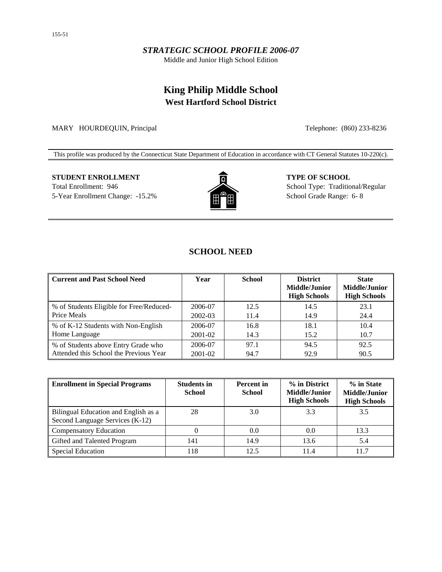## *STRATEGIC SCHOOL PROFILE 2006-07*

Middle and Junior High School Edition

# **King Philip Middle School West Hartford School District**

MARY HOURDEQUIN, Principal Telephone: (860) 233-8236

This profile was produced by the Connecticut State Department of Education in accordance with CT General Statutes 10-220(c).

## **STUDENT ENROLLMENT TYPE OF SCHOOL** Total Enrollment: 946 School Type: Traditional/Regular 5-Year Enrollment Change: -15.2% **School Grade Range: 6-8** School Grade Range: 6- 8



## **SCHOOL NEED**

| <b>Current and Past School Need</b>      | Year    | <b>School</b> | <b>District</b><br><b>Middle/Junior</b><br><b>High Schools</b> | <b>State</b><br><b>Middle/Junior</b><br><b>High Schools</b> |
|------------------------------------------|---------|---------------|----------------------------------------------------------------|-------------------------------------------------------------|
| % of Students Eligible for Free/Reduced- | 2006-07 | 12.5          | 14.5                                                           | 23.1                                                        |
| Price Meals                              | 2002-03 | 11.4          | 14.9                                                           | 24.4                                                        |
| % of K-12 Students with Non-English      | 2006-07 | 16.8          | 18.1                                                           | 10.4                                                        |
| Home Language                            | 2001-02 | 14.3          | 15.2                                                           | 10.7                                                        |
| % of Students above Entry Grade who      | 2006-07 | 97.1          | 94.5                                                           | 92.5                                                        |
| Attended this School the Previous Year   | 2001-02 | 94.7          | 92.9                                                           | 90.5                                                        |

| <b>Enrollment in Special Programs</b>                                   | <b>Students in</b><br><b>School</b> | <b>Percent</b> in<br><b>School</b> | % in District<br>Middle/Junior<br><b>High Schools</b> | % in State<br>Middle/Junior<br><b>High Schools</b> |
|-------------------------------------------------------------------------|-------------------------------------|------------------------------------|-------------------------------------------------------|----------------------------------------------------|
| Bilingual Education and English as a<br>Second Language Services (K-12) | 28                                  | 3.0                                | 3.3                                                   | 3.5                                                |
| Compensatory Education                                                  |                                     | 0.0                                | 0.0                                                   | 13.3                                               |
| Gifted and Talented Program                                             | 141                                 | 14.9                               | 13.6                                                  | 5.4                                                |
| Special Education                                                       | 18                                  | 12.5                               | 11.4                                                  | 11.7                                               |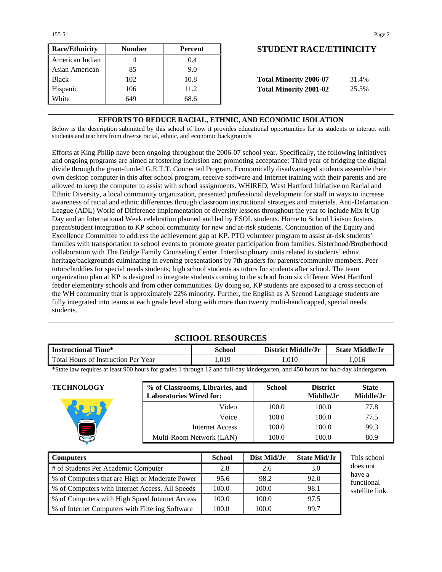155-51 Page 2

| <b>Race/Ethnicity</b> | <b>Number</b> | <b>Percent</b> | <b>STUDENT RACE/ETHNICIT</b>           |
|-----------------------|---------------|----------------|----------------------------------------|
| American Indian       |               | (0.4)          |                                        |
| Asian American        | 85            | 9.0            |                                        |
| <b>Black</b>          | 102           | 10.8           | <b>Total Minority 2006-07</b><br>31.4% |
| Hispanic              | 106           | 11.2           | <b>Total Minority 2001-02</b><br>25.5% |
| White                 | 649           | 68.6           |                                        |

## **Race/Ethnicity Number Percent STUDENT RACE/ETHNICITY**

| <b>Total Minority 2006-07</b> | 31.4% |
|-------------------------------|-------|
| <b>Total Minority 2001-02</b> | 25.5% |

### **EFFORTS TO REDUCE RACIAL, ETHNIC, AND ECONOMIC ISOLATION**

Below is the description submitted by this school of how it provides educational opportunities for its students to interact with students and teachers from diverse racial, ethnic, and economic backgrounds.

Efforts at King Philip have been ongoing throughout the 2006-07 school year. Specifically, the following initiatives and ongoing programs are aimed at fostering inclusion and promoting acceptance: Third year of bridging the digital divide through the grant-funded G.E.T.T. Connected Program. Economically disadvantaged students assemble their own desktop computer in this after school program, receive software and Internet training with their parents and are allowed to keep the computer to assist with school assignments. WHIRED, West Hartford Initiative on Racial and Ethnic Diversity, a local community organization, presented professional development for staff in ways to increase awareness of racial and ethnic differences through classroom instructional strategies and materials. Anti-Defamation League (ADL) World of Difference implementation of diversity lessons throughout the year to include Mix It Up Day and an International Week celebration planned and led by ESOL students. Home to School Liaison fosters parent/student integration to KP school community for new and at-risk students. Continuation of the Equity and Excellence Committee to address the achievement gap at KP. PTO volunteer program to assist at-risk students' families with transportation to school events to promote greater participation from families. Sisterhood/Brotherhood collaboration with The Bridge Family Counseling Center. Interdisciplinary units related to students' ethnic heritage/backgrounds culminating in evening presentations by 7th graders for parents/community members. Peer tutors/buddies for special needs students; high school students as tutors for students after school. The team organization plan at KP is designed to integrate students coming to the school from six different West Hartford feeder elementary schools and from other communities. By doing so, KP students are exposed to a cross section of the WH community that is approximately 22% minority. Further, the English as A Second Language students are fully integrated into teams at each grade level along with more than twenty multi-handicapped, special needs students.

## **SCHOOL RESOURCES**

| <b>Instructional Time*</b>          | <b>School</b> | District Middle/Jr | <b>State Middle/Jr</b> |
|-------------------------------------|---------------|--------------------|------------------------|
| Total Hours of Instruction Per Year | .019          | .010               | .016                   |

\*State law requires at least 900 hours for grades 1 through 12 and full-day kindergarten, and 450 hours for half-day kindergarten.

| <b>TECHNOLOGY</b> | % of Classrooms, Libraries, and<br><b>Laboratories Wired for:</b> | <b>School</b> | <b>District</b><br>Middle/Jr | <b>State</b><br>Middle/Jr |
|-------------------|-------------------------------------------------------------------|---------------|------------------------------|---------------------------|
|                   | Video                                                             | 100.0         | 100.0                        | 77.8                      |
|                   | Voice                                                             | 100.0         | 100.0                        | 77.5                      |
|                   | Internet Access                                                   | 100.0         | 100.0                        | 99.3                      |
|                   | Multi-Room Network (LAN)                                          | 100.0         | 100.0                        | 80.9                      |

| Computers                                         | <b>School</b> | Dist Mid/Jr | <b>State Mid/Jr</b> | This school          |
|---------------------------------------------------|---------------|-------------|---------------------|----------------------|
| # of Students Per Academic Computer               | 2.8           | 2.6         | 3.0                 | does not             |
| ■ % of Computers that are High or Moderate Power  | 95.6          | 98.2        | 92.0                | have a<br>functional |
| ■ % of Computers with Internet Access, All Speeds | 100.0         | 100.0       | 98.1                | satellite link.      |
| ■ % of Computers with High Speed Internet Access  | 100.0         | 100.0       | 97.5                |                      |
| ■ % of Internet Computers with Filtering Software | 100.0         | 100.0       | 99.7                |                      |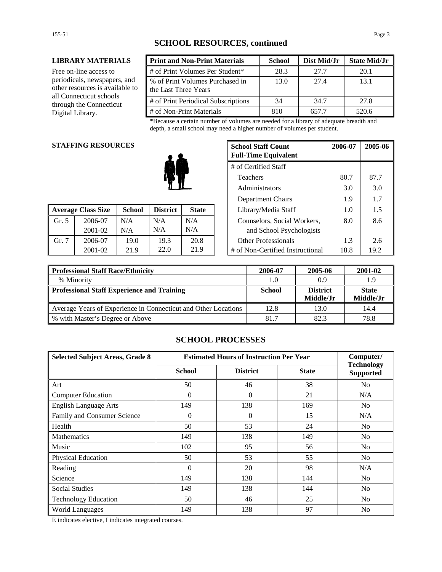### **LIBRARY MATERIALS**

Free on-line access to periodicals, newspapers, and other resources is available to all Connecticut schools through the Connecticut Digital Library.

| <b>Print and Non-Print Materials</b>                    | <b>School</b> | Dist Mid/Jr | <b>State Mid/Jr</b> |
|---------------------------------------------------------|---------------|-------------|---------------------|
| # of Print Volumes Per Student*                         | 28.3          | 27.7        | 20.1                |
| % of Print Volumes Purchased in<br>the Last Three Years | 13.0          | 27.4        | 13.1                |
| # of Print Periodical Subscriptions                     | 34            | 34.7        | 27.8                |
| # of Non-Print Materials                                | 810           | 657.7       | 520.6               |

\*Because a certain number of volumes are needed for a library of adequate breadth and depth, a small school may need a higher number of volumes per student.

### **STAFFING RESOURCES**

|       |                           |               |                                 |      |                                  |      | .    |
|-------|---------------------------|---------------|---------------------------------|------|----------------------------------|------|------|
|       | <b>Average Class Size</b> | <b>School</b> | <b>District</b><br><b>State</b> |      | Library/Media Staff              | 1.0  | 1.5  |
| Gr. 5 | 2006-07                   | N/A           | N/A                             | N/A  | Counselors, Social Workers,      | 8.0  | 8.6  |
|       | 2001-02                   | N/A           | N/A                             | N/A  | and School Psychologists         |      |      |
| Gr. 7 | 2006-07                   | 19.0          | 19.3                            | 20.8 | <b>Other Professionals</b>       |      | 2.6  |
|       | 2001-02                   | 21.9          | 22.0                            | 21.9 | # of Non-Certified Instructional | 18.8 | 19.2 |

| <b>G RESOURCES</b><br><b>School Staff Count</b><br><b>Full-Time Equivalent</b> |               |                 |                      | 2006-07 | 2005-06                          |      |      |
|--------------------------------------------------------------------------------|---------------|-----------------|----------------------|---------|----------------------------------|------|------|
|                                                                                |               |                 | # of Certified Staff |         |                                  |      |      |
|                                                                                |               | <b>Teachers</b> | 80.7                 | 87.7    |                                  |      |      |
|                                                                                |               | Administrators  | 3.0                  | 3.0     |                                  |      |      |
|                                                                                |               |                 | Department Chairs    | 1.9     | 1.7                              |      |      |
| lass Size                                                                      | <b>School</b> | <b>District</b> | <b>State</b>         |         | Library/Media Staff              | 1.0  | 1.5  |
| 2006-07                                                                        | N/A           | N/A             | N/A                  |         | Counselors, Social Workers,      | 8.0  | 8.6  |
| 2001-02                                                                        | N/A           | N/A             | N/A                  |         | and School Psychologists         |      |      |
| 2006-07                                                                        | 19.0          | 19.3            | 20.8                 |         | <b>Other Professionals</b>       | 1.3  | 2.6  |
| 2001-02                                                                        | 21.9          | 22.0            | 21.9                 |         | # of Non-Certified Instructional | 18.8 | 19.2 |

| <b>Professional Staff Race/Ethnicity</b>                       | 2006-07       | 2005-06         | 2001-02      |
|----------------------------------------------------------------|---------------|-----------------|--------------|
| % Minority                                                     | 1.0           | 0.9             | 1.9          |
| Professional Staff Experience and Training                     | <b>School</b> | <b>District</b> | <b>State</b> |
|                                                                |               | Middle/Jr       | Middle/Jr    |
| Average Years of Experience in Connecticut and Other Locations | 12.8          | 13.0            | 14.4         |
| % with Master's Degree or Above                                | 81.7          | 82.3            | 78.8         |

## **SCHOOL PROCESSES**

| <b>Selected Subject Areas, Grade 8</b> | <b>Estimated Hours of Instruction Per Year</b> |                 |              | Computer/                             |
|----------------------------------------|------------------------------------------------|-----------------|--------------|---------------------------------------|
|                                        | <b>School</b>                                  | <b>District</b> | <b>State</b> | <b>Technology</b><br><b>Supported</b> |
| Art                                    | 50                                             | 46              | 38           | No                                    |
| <b>Computer Education</b>              | $\mathbf{0}$                                   | $\Omega$        | 21           | N/A                                   |
| <b>English Language Arts</b>           | 149                                            | 138             | 169          | N <sub>0</sub>                        |
| Family and Consumer Science            | $\theta$                                       | $\Omega$        | 15           | N/A                                   |
| Health                                 | 50                                             | 53              | 24           | No                                    |
| <b>Mathematics</b>                     | 149                                            | 138             | 149          | N <sub>0</sub>                        |
| Music                                  | 102                                            | 95              | 56           | N <sub>0</sub>                        |
| Physical Education                     | 50                                             | 53              | 55           | No                                    |
| Reading                                | $\Omega$                                       | 20              | 98           | N/A                                   |
| Science                                | 149                                            | 138             | 144          | N <sub>0</sub>                        |
| <b>Social Studies</b>                  | 149                                            | 138             | 144          | N <sub>0</sub>                        |
| <b>Technology Education</b>            | 50                                             | 46              | 25           | N <sub>0</sub>                        |
| <b>World Languages</b>                 | 149                                            | 138             | 97           | N <sub>0</sub>                        |

E indicates elective, I indicates integrated courses.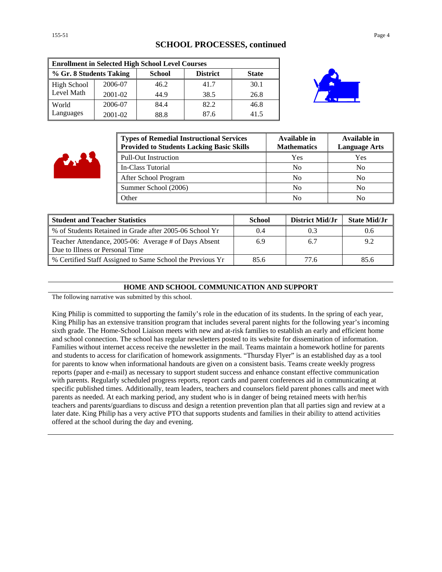## **SCHOOL PROCESSES, continued**

| <b>Enrollment in Selected High School Level Courses</b> |         |               |                 |              |  |
|---------------------------------------------------------|---------|---------------|-----------------|--------------|--|
| % Gr. 8 Students Taking                                 |         | <b>School</b> | <b>District</b> | <b>State</b> |  |
| <b>High School</b>                                      | 2006-07 | 46.2          | 41.7            | 30.1         |  |
| Level Math                                              | 2001-02 | 44.9          | 38.5            | 26.8         |  |
| World                                                   | 2006-07 | 84.4          | 82.2            | 46.8         |  |
| Languages                                               | 2001-02 | 88.8          | 87.6            | 41.5         |  |



| <b>Types of Remedial Instructional Services</b><br><b>Provided to Students Lacking Basic Skills</b> | Available in<br><b>Mathematics</b> | Available in<br><b>Language Arts</b> |
|-----------------------------------------------------------------------------------------------------|------------------------------------|--------------------------------------|
| <b>Pull-Out Instruction</b>                                                                         | Yes                                | Yes                                  |
| In-Class Tutorial                                                                                   | No                                 | No                                   |
| After School Program                                                                                | N <sub>0</sub>                     | N <sub>0</sub>                       |
| Summer School (2006)                                                                                | No                                 | No                                   |
| Other                                                                                               | No                                 | No                                   |

| <b>Student and Teacher Statistics</b>                                                    | School | District Mid/Jr | <b>State Mid/Jr</b> |
|------------------------------------------------------------------------------------------|--------|-----------------|---------------------|
| % of Students Retained in Grade after 2005-06 School Yr                                  | 0.4    |                 |                     |
| Teacher Attendance, 2005-06: Average # of Days Absent<br>Due to Illness or Personal Time | 6.9    | 6.              | 9.2                 |
| % Certified Staff Assigned to Same School the Previous Yr                                | 85.6   | 77.6            | 85.6                |

### **HOME AND SCHOOL COMMUNICATION AND SUPPORT**

The following narrative was submitted by this school.

King Philip is committed to supporting the family's role in the education of its students. In the spring of each year, King Philip has an extensive transition program that includes several parent nights for the following year's incoming sixth grade. The Home-School Liaison meets with new and at-risk families to establish an early and efficient home and school connection. The school has regular newsletters posted to its website for dissemination of information. Families without internet access receive the newsletter in the mail. Teams maintain a homework hotline for parents and students to access for clarification of homework assignments. "Thursday Flyer" is an established day as a tool for parents to know when informational handouts are given on a consistent basis. Teams create weekly progress reports (paper and e-mail) as necessary to support student success and enhance constant effective communication with parents. Regularly scheduled progress reports, report cards and parent conferences aid in communicating at specific published times. Additionally, team leaders, teachers and counselors field parent phones calls and meet with parents as needed. At each marking period, any student who is in danger of being retained meets with her/his teachers and parents/guardians to discuss and design a retention prevention plan that all parties sign and review at a later date. King Philip has a very active PTO that supports students and families in their ability to attend activities offered at the school during the day and evening.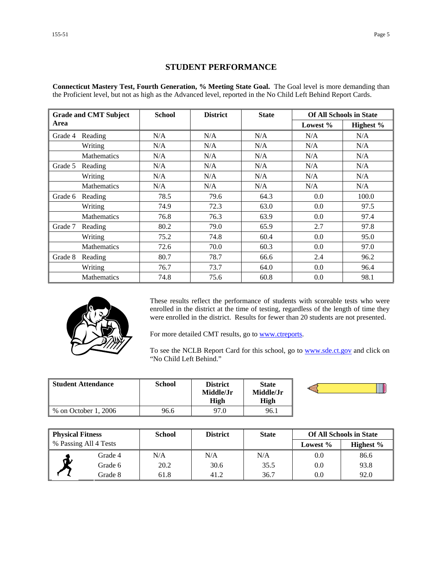## **STUDENT PERFORMANCE**

**Connecticut Mastery Test, Fourth Generation, % Meeting State Goal.** The Goal level is more demanding than the Proficient level, but not as high as the Advanced level, reported in the No Child Left Behind Report Cards.

|         | <b>Grade and CMT Subject</b> | <b>School</b> | <b>District</b> | <b>State</b> |             | <b>Of All Schools in State</b> |
|---------|------------------------------|---------------|-----------------|--------------|-------------|--------------------------------|
| Area    |                              |               |                 |              | Lowest $\%$ | Highest %                      |
| Grade 4 | Reading                      | N/A           | N/A             | N/A          | N/A         | N/A                            |
|         | Writing                      | N/A           | N/A             | N/A          | N/A         | N/A                            |
|         | <b>Mathematics</b>           | N/A           | N/A             | N/A          | N/A         | N/A                            |
| Grade 5 | Reading                      | N/A           | N/A             | N/A          | N/A         | N/A                            |
|         | Writing                      | N/A           | N/A             | N/A          | N/A         | N/A                            |
|         | <b>Mathematics</b>           | N/A           | N/A             | N/A          | N/A         | N/A                            |
| Grade 6 | Reading                      | 78.5          | 79.6            | 64.3         | 0.0         | 100.0                          |
|         | Writing                      | 74.9          | 72.3            | 63.0         | 0.0         | 97.5                           |
|         | <b>Mathematics</b>           | 76.8          | 76.3            | 63.9         | 0.0         | 97.4                           |
| Grade 7 | Reading                      | 80.2          | 79.0            | 65.9         | 2.7         | 97.8                           |
|         | Writing                      | 75.2          | 74.8            | 60.4         | $0.0\,$     | 95.0                           |
|         | <b>Mathematics</b>           | 72.6          | 70.0            | 60.3         | 0.0         | 97.0                           |
| Grade 8 | Reading                      | 80.7          | 78.7            | 66.6         | 2.4         | 96.2                           |
|         | Writing                      | 76.7          | 73.7            | 64.0         | 0.0         | 96.4                           |
|         | <b>Mathematics</b>           | 74.8          | 75.6            | 60.8         | 0.0         | 98.1                           |



These results reflect the performance of students with scoreable tests who were enrolled in the district at the time of testing, regardless of the length of time they were enrolled in the district. Results for fewer than 20 students are not presented.

For more detailed CMT results, go to **www.ctreports**.

To see the NCLB Report Card for this school, go to **[www.sde.ct.gov](http://www.sde.ct.gov/)** and click on "No Child Left Behind."

| Student Attendance   | School | District<br>Middle/Jr<br>High | <b>State</b><br>Middle/Jr<br>High |  |
|----------------------|--------|-------------------------------|-----------------------------------|--|
| % on October 1, 2006 | 96.6   | 97.0                          | 96.1                              |  |

| <b>Physical Fitness</b> |         | <b>School</b> | <b>District</b> | <b>State</b> |             | <b>Of All Schools in State</b> |
|-------------------------|---------|---------------|-----------------|--------------|-------------|--------------------------------|
| % Passing All 4 Tests   |         |               |                 |              | Lowest $\%$ | Highest $\%$                   |
|                         | Grade 4 | N/A           | N/A             | N/A          | 0.0         | 86.6                           |
| ๛                       | Grade 6 | 20.2          | 30.6            | 35.5         | 0.0         | 93.8                           |
|                         | Grade 8 | 61.8          | 41.2            | 36.7         | 0.0         | 92.0                           |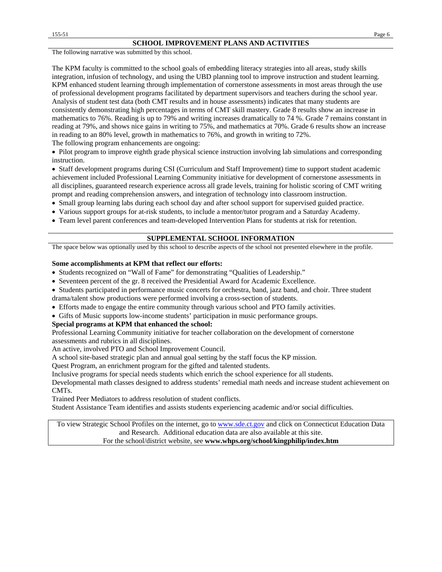#### **SCHOOL IMPROVEMENT PLANS AND ACTIVITIES**

The following narrative was submitted by this school.

The KPM faculty is committed to the school goals of embedding literacy strategies into all areas, study skills integration, infusion of technology, and using the UBD planning tool to improve instruction and student learning. KPM enhanced student learning through implementation of cornerstone assessments in most areas through the use of professional development programs facilitated by department supervisors and teachers during the school year. Analysis of student test data (both CMT results and in house assessments) indicates that many students are consistently demonstrating high percentages in terms of CMT skill mastery. Grade 8 results show an increase in mathematics to 76%. Reading is up to 79% and writing increases dramatically to 74 %. Grade 7 remains constant in reading at 79%, and shows nice gains in writing to 75%, and mathematics at 70%. Grade 6 results show an increase in reading to an 80% level, growth in mathematics to 76%, and growth in writing to 72%.

The following program enhancements are ongoing:

• Pilot program to improve eighth grade physical science instruction involving lab simulations and corresponding instruction.

• Staff development programs during CSI (Curriculum and Staff Improvement) time to support student academic achievement included Professional Learning Community initiative for development of cornerstone assessments in all disciplines, guaranteed research experience across all grade levels, training for holistic scoring of CMT writing prompt and reading comprehension answers, and integration of technology into classroom instruction.

- Small group learning labs during each school day and after school support for supervised guided practice.
- Various support groups for at-risk students, to include a mentor/tutor program and a Saturday Academy.
- Team level parent conferences and team-developed Intervention Plans for students at risk for retention.

#### **SUPPLEMENTAL SCHOOL INFORMATION**

The space below was optionally used by this school to describe aspects of the school not presented elsewhere in the profile.

#### **Some accomplishments at KPM that reflect our efforts:**

- Students recognized on "Wall of Fame" for demonstrating "Qualities of Leadership."
- Seventeen percent of the gr. 8 received the Presidential Award for Academic Excellence.
- Students participated in performance music concerts for orchestra, band, jazz band, and choir. Three student
- drama/talent show productions were performed involving a cross-section of students.
- Efforts made to engage the entire community through various school and PTO family activities.
- Gifts of Music supports low-income students' participation in music performance groups.

#### **Special programs at KPM that enhanced the school:**

Professional Learning Community initiative for teacher collaboration on the development of cornerstone assessments and rubrics in all disciplines.

An active, involved PTO and School Improvement Council.

A school site-based strategic plan and annual goal setting by the staff focus the KP mission.

Quest Program, an enrichment program for the gifted and talented students.

Inclusive programs for special needs students which enrich the school experience for all students.

Developmental math classes designed to address students' remedial math needs and increase student achievement on CMTs.

Trained Peer Mediators to address resolution of student conflicts.

Student Assistance Team identifies and assists students experiencing academic and/or social difficulties.

To view Strategic School Profiles on the internet, go to [www.sde.ct.gov](http://www.sde.ct.gov/) and click on Connecticut Education Data and Research. Additional education data are also available at this site. For the school/district website, see **www.whps.org/school/kingphilip/index.htm**